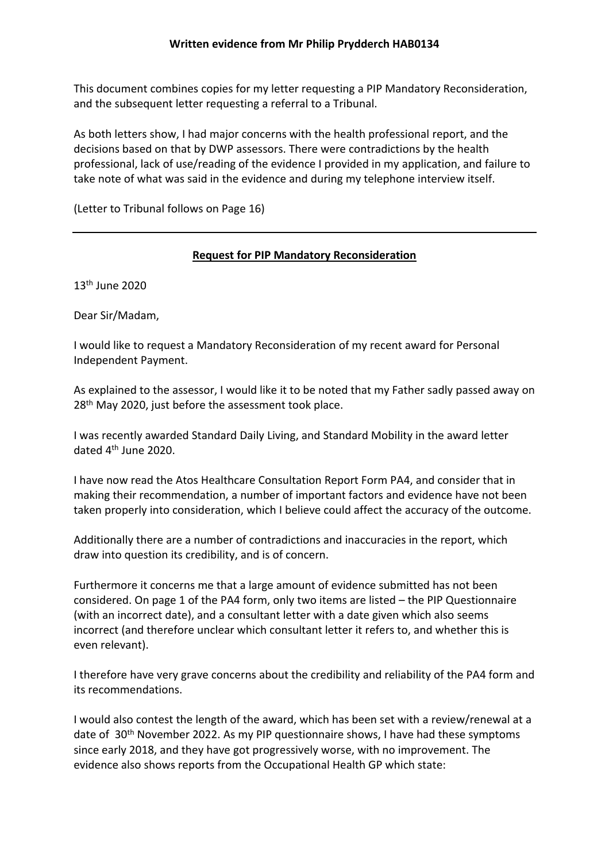This document combines copies for my letter requesting a PIP Mandatory Reconsideration, and the subsequent letter requesting a referral to a Tribunal.

As both letters show, I had major concerns with the health professional report, and the decisions based on that by DWP assessors. There were contradictions by the health professional, lack of use/reading of the evidence I provided in my application, and failure to take note of what was said in the evidence and during my telephone interview itself.

(Letter to Tribunal follows on Page 16)

### **Request for PIP Mandatory Reconsideration**

13th June 2020

Dear Sir/Madam,

I would like to request a Mandatory Reconsideration of my recent award for Personal Independent Payment.

As explained to the assessor, I would like it to be noted that my Father sadly passed away on 28<sup>th</sup> May 2020, just before the assessment took place.

I was recently awarded Standard Daily Living, and Standard Mobility in the award letter dated 4<sup>th</sup> June 2020.

I have now read the Atos Healthcare Consultation Report Form PA4, and consider that in making their recommendation, a number of important factors and evidence have not been taken properly into consideration, which I believe could affect the accuracy of the outcome.

Additionally there are a number of contradictions and inaccuracies in the report, which draw into question its credibility, and is of concern.

Furthermore it concerns me that a large amount of evidence submitted has not been considered. On page 1 of the PA4 form, only two items are listed – the PIP Questionnaire (with an incorrect date), and a consultant letter with a date given which also seems incorrect (and therefore unclear which consultant letter it refers to, and whether this is even relevant).

I therefore have very grave concerns about the credibility and reliability of the PA4 form and its recommendations.

I would also contest the length of the award, which has been set with a review/renewal at a date of 30th November 2022. As my PIP questionnaire shows, I have had these symptoms since early 2018, and they have got progressively worse, with no improvement. The evidence also shows reports from the Occupational Health GP which state: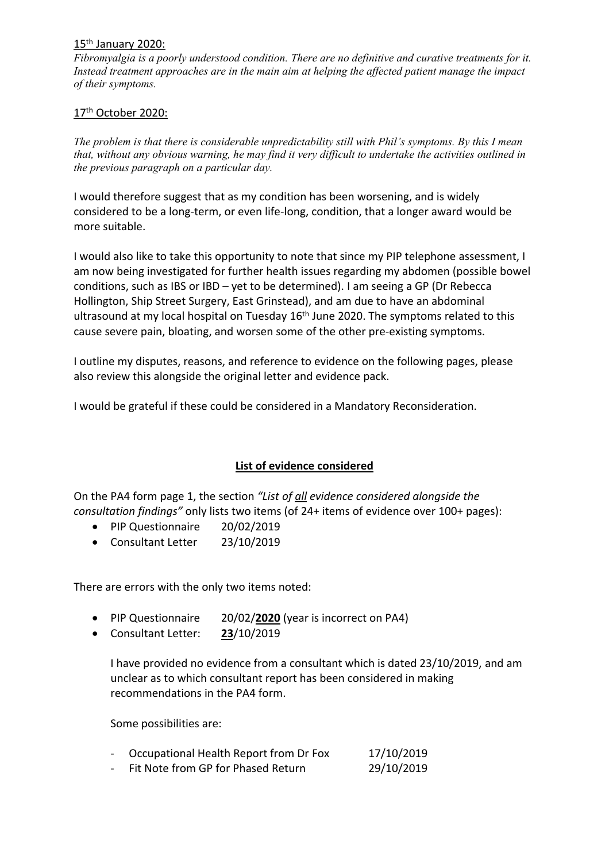#### 15<sup>th</sup> January 2020:

*Fibromyalgia is a poorly understood condition. There are no definitive and curative treatments for it. Instead treatment approaches are in the main aim at helping the affected patient manage the impact of their symptoms.*

### 17<sup>th</sup> October 2020:

*The problem is that there is considerable unpredictability still with Phil's symptoms. By this I mean that, without any obvious warning, he may find it very difficult to undertake the activities outlined in the previous paragraph on a particular day.*

I would therefore suggest that as my condition has been worsening, and is widely considered to be a long-term, or even life-long, condition, that a longer award would be more suitable.

I would also like to take this opportunity to note that since my PIP telephone assessment, I am now being investigated for further health issues regarding my abdomen (possible bowel conditions, such as IBS or IBD – yet to be determined). I am seeing a GP (Dr Rebecca Hollington, Ship Street Surgery, East Grinstead), and am due to have an abdominal ultrasound at my local hospital on Tuesday  $16<sup>th</sup>$  June 2020. The symptoms related to this cause severe pain, bloating, and worsen some of the other pre-existing symptoms.

I outline my disputes, reasons, and reference to evidence on the following pages, please also review this alongside the original letter and evidence pack.

I would be grateful if these could be considered in a Mandatory Reconsideration.

## **List of evidence considered**

On the PA4 form page 1, the section *"List of all evidence considered alongside the consultation findings"* only lists two items (of 24+ items of evidence over 100+ pages):

- PIP Questionnaire 20/02/2019
- Consultant Letter 23/10/2019

There are errors with the only two items noted:

- PIP Questionnaire 20/02/**2020** (year is incorrect on PA4)
- Consultant Letter: **23**/10/2019

I have provided no evidence from a consultant which is dated 23/10/2019, and am unclear as to which consultant report has been considered in making recommendations in the PA4 form.

Some possibilities are:

| Occupational Health Report from Dr Fox | 17/10/2019 |
|----------------------------------------|------------|
| Fit Note from GP for Phased Return     | 29/10/2019 |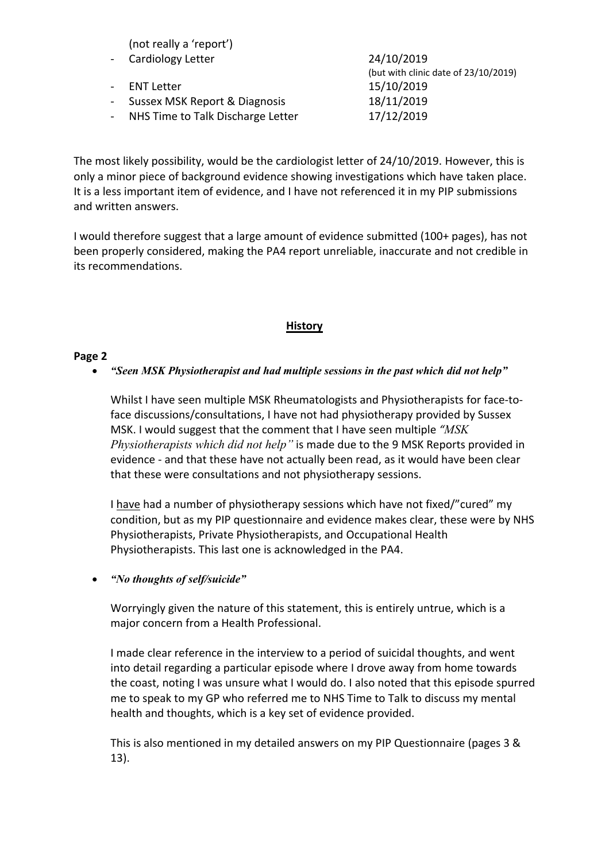| (not really a 'report') |  |
|-------------------------|--|
|-------------------------|--|

| - Cardiology Letter                 | 24/10/2019                           |
|-------------------------------------|--------------------------------------|
|                                     | (but with clinic date of 23/10/2019) |
| ENT Letter                          | 15/10/2019                           |
| - Sussex MSK Report & Diagnosis     | 18/11/2019                           |
| - NHS Time to Talk Discharge Letter | 17/12/2019                           |
|                                     |                                      |

The most likely possibility, would be the cardiologist letter of 24/10/2019. However, this is only a minor piece of background evidence showing investigations which have taken place. It is a less important item of evidence, and I have not referenced it in my PIP submissions and written answers.

I would therefore suggest that a large amount of evidence submitted (100+ pages), has not been properly considered, making the PA4 report unreliable, inaccurate and not credible in its recommendations.

### **History**

### **Page 2**

### *"Seen MSK Physiotherapist and had multiple sessions in the past which did not help"*

Whilst I have seen multiple MSK Rheumatologists and Physiotherapists for face-toface discussions/consultations, I have not had physiotherapy provided by Sussex MSK. I would suggest that the comment that I have seen multiple *"MSK Physiotherapists which did not help"* is made due to the 9 MSK Reports provided in evidence - and that these have not actually been read, as it would have been clear that these were consultations and not physiotherapy sessions.

I have had a number of physiotherapy sessions which have not fixed/"cured" my condition, but as my PIP questionnaire and evidence makes clear, these were by NHS Physiotherapists, Private Physiotherapists, and Occupational Health Physiotherapists. This last one is acknowledged in the PA4.

### *"No thoughts of self/suicide"*

Worryingly given the nature of this statement, this is entirely untrue, which is a major concern from a Health Professional.

I made clear reference in the interview to a period of suicidal thoughts, and went into detail regarding a particular episode where I drove away from home towards the coast, noting I was unsure what I would do. I also noted that this episode spurred me to speak to my GP who referred me to NHS Time to Talk to discuss my mental health and thoughts, which is a key set of evidence provided.

This is also mentioned in my detailed answers on my PIP Questionnaire (pages 3 & 13).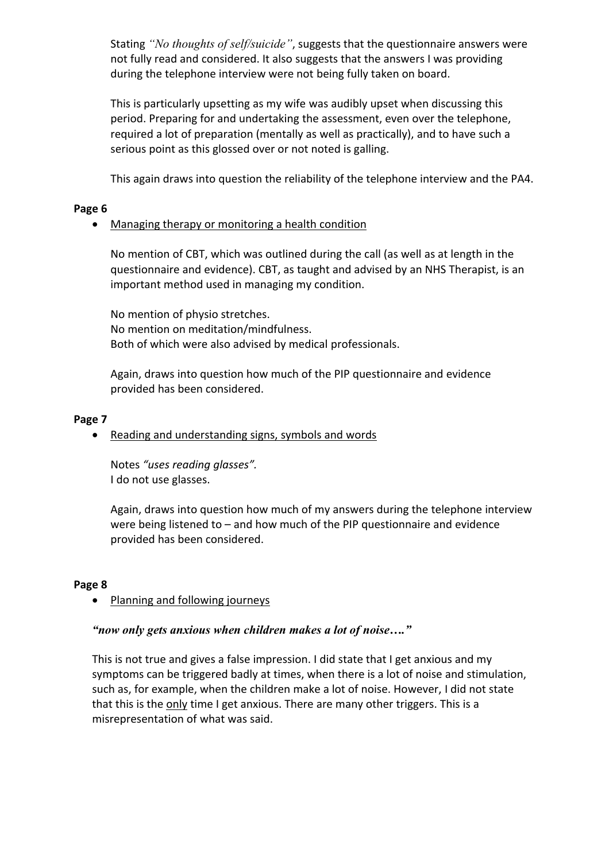Stating *"No thoughts of self/suicide"*, suggests that the questionnaire answers were not fully read and considered. It also suggests that the answers I was providing during the telephone interview were not being fully taken on board.

This is particularly upsetting as my wife was audibly upset when discussing this period. Preparing for and undertaking the assessment, even over the telephone, required a lot of preparation (mentally as well as practically), and to have such a serious point as this glossed over or not noted is galling.

This again draws into question the reliability of the telephone interview and the PA4.

## **Page 6**

## Managing therapy or monitoring a health condition

No mention of CBT, which was outlined during the call (as well as at length in the questionnaire and evidence). CBT, as taught and advised by an NHS Therapist, is an important method used in managing my condition.

No mention of physio stretches. No mention on meditation/mindfulness. Both of which were also advised by medical professionals.

Again, draws into question how much of the PIP questionnaire and evidence provided has been considered.

### **Page 7**

Reading and understanding signs, symbols and words

Notes *"uses reading glasses".* I do not use glasses.

Again, draws into question how much of my answers during the telephone interview were being listened to – and how much of the PIP questionnaire and evidence provided has been considered.

## **Page 8**

## • Planning and following journeys

## *"now only gets anxious when children makes a lot of noise…."*

This is not true and gives a false impression. I did state that I get anxious and my symptoms can be triggered badly at times, when there is a lot of noise and stimulation, such as, for example, when the children make a lot of noise. However, I did not state that this is the only time I get anxious. There are many other triggers. This is a misrepresentation of what was said.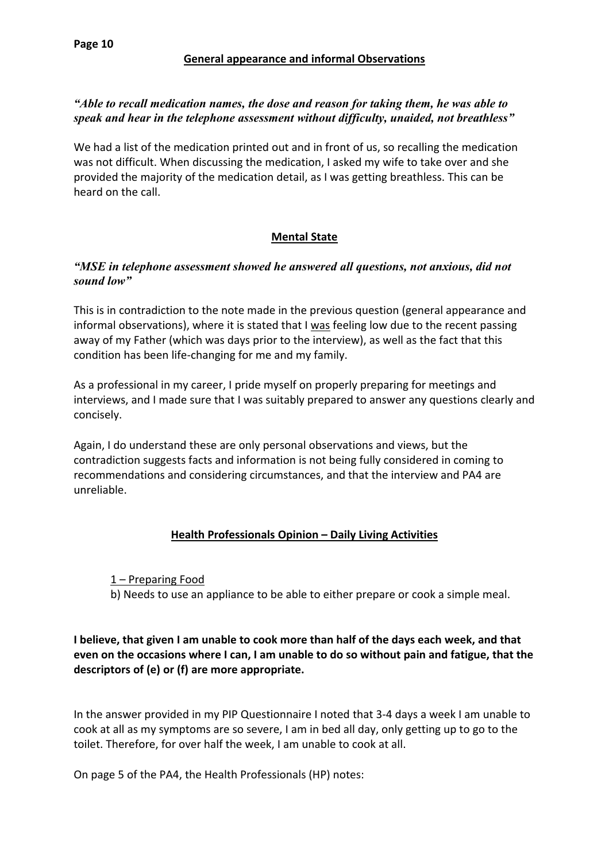### **General appearance and informal Observations**

### *"Able to recall medication names, the dose and reason for taking them, he was able to speak and hear in the telephone assessment without difficulty, unaided, not breathless"*

We had a list of the medication printed out and in front of us, so recalling the medication was not difficult. When discussing the medication, I asked my wife to take over and she provided the majority of the medication detail, as I was getting breathless. This can be heard on the call.

# **Mental State**

### *"MSE in telephone assessment showed he answered all questions, not anxious, did not sound low"*

This is in contradiction to the note made in the previous question (general appearance and informal observations), where it is stated that I was feeling low due to the recent passing away of my Father (which was days prior to the interview), as well as the fact that this condition has been life-changing for me and my family.

As a professional in my career, I pride myself on properly preparing for meetings and interviews, and I made sure that I was suitably prepared to answer any questions clearly and concisely.

Again, I do understand these are only personal observations and views, but the contradiction suggests facts and information is not being fully considered in coming to recommendations and considering circumstances, and that the interview and PA4 are unreliable.

# **Health Professionals Opinion – Daily Living Activities**

### 1 – Preparing Food

b) Needs to use an appliance to be able to either prepare or cook a simple meal.

# **I believe, that given I am unable to cook more than half of the days each week, and that even on the occasions where I can, I am unable to do so without pain and fatigue, that the descriptors of (e) or (f) are more appropriate.**

In the answer provided in my PIP Questionnaire I noted that 3-4 days a week I am unable to cook at all as my symptoms are so severe, I am in bed all day, only getting up to go to the toilet. Therefore, for over half the week, I am unable to cook at all.

On page 5 of the PA4, the Health Professionals (HP) notes: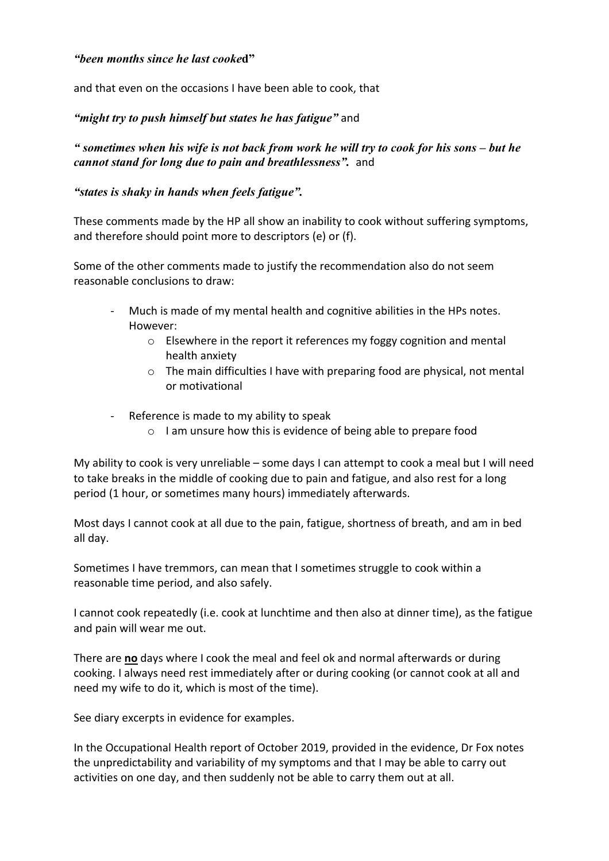### *"been months since he last cooke***d"**

and that even on the occasions I have been able to cook, that

# *"might try to push himself but states he has fatigue"* and

" sometimes when his wife is not back from work he will try to cook for his sons – but he *cannot stand for long due to pain and breathlessness".*and

## *"states is shaky in hands when feels fatigue".*

These comments made by the HP all show an inability to cook without suffering symptoms, and therefore should point more to descriptors (e) or (f).

Some of the other comments made to justify the recommendation also do not seem reasonable conclusions to draw:

- Much is made of my mental health and cognitive abilities in the HPs notes. However:
	- o Elsewhere in the report it references my foggy cognition and mental health anxiety
	- o The main difficulties I have with preparing food are physical, not mental or motivational
- Reference is made to my ability to speak
	- o I am unsure how this is evidence of being able to prepare food

My ability to cook is very unreliable – some days I can attempt to cook a meal but I will need to take breaks in the middle of cooking due to pain and fatigue, and also rest for a long period (1 hour, or sometimes many hours) immediately afterwards.

Most days I cannot cook at all due to the pain, fatigue, shortness of breath, and am in bed all day.

Sometimes I have tremmors, can mean that I sometimes struggle to cook within a reasonable time period, and also safely.

I cannot cook repeatedly (i.e. cook at lunchtime and then also at dinner time), as the fatigue and pain will wear me out.

There are **no** days where I cook the meal and feel ok and normal afterwards or during cooking. I always need rest immediately after or during cooking (or cannot cook at all and need my wife to do it, which is most of the time).

See diary excerpts in evidence for examples.

In the Occupational Health report of October 2019, provided in the evidence, Dr Fox notes the unpredictability and variability of my symptoms and that I may be able to carry out activities on one day, and then suddenly not be able to carry them out at all.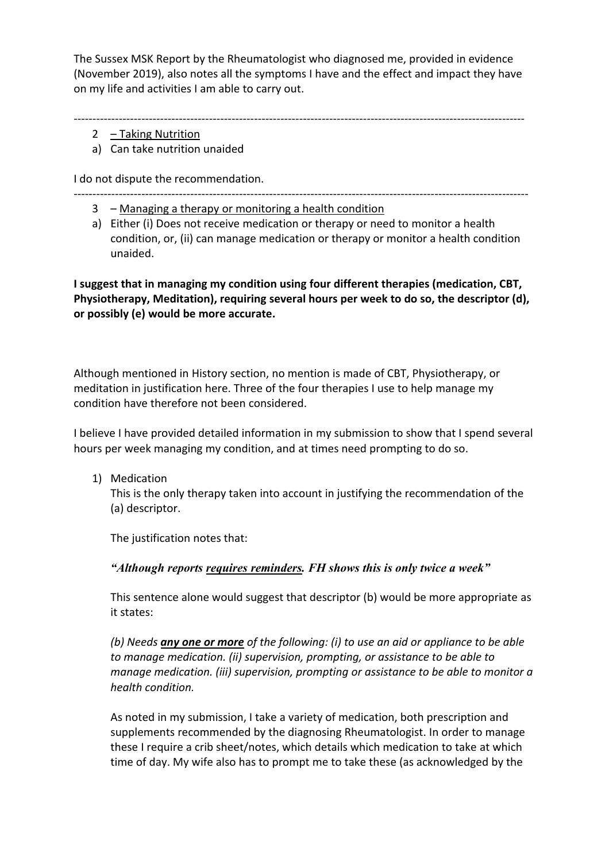The Sussex MSK Report by the Rheumatologist who diagnosed me, provided in evidence (November 2019), also notes all the symptoms I have and the effect and impact they have on my life and activities I am able to carry out.

------------------------------------------------------------------------------------------------------------------------

- 2 Taking Nutrition
- a) Can take nutrition unaided

I do not dispute the recommendation.

- -------------------------------------------------------------------------------------------------------------------------
	- 3 Managing a therapy or monitoring a health condition
	- a) Either (i) Does not receive medication or therapy or need to monitor a health condition, or, (ii) can manage medication or therapy or monitor a health condition unaided.

**I suggest that in managing my condition using four different therapies (medication, CBT, Physiotherapy, Meditation), requiring several hours per week to do so, the descriptor (d), or possibly (e) would be more accurate.**

Although mentioned in History section, no mention is made of CBT, Physiotherapy, or meditation in justification here. Three of the four therapies I use to help manage my condition have therefore not been considered.

I believe I have provided detailed information in my submission to show that I spend several hours per week managing my condition, and at times need prompting to do so.

1) Medication

This is the only therapy taken into account in justifying the recommendation of the (a) descriptor.

The justification notes that:

*"Although reports requires reminders. FH shows this is only twice a week"*

This sentence alone would suggest that descriptor (b) would be more appropriate as it states:

*(b) Needs any one or more of the following: (i) to use an aid or appliance to be able to manage medication. (ii) supervision, prompting, or assistance to be able to manage medication. (iii) supervision, prompting or assistance to be able to monitor a health condition.*

As noted in my submission, I take a variety of medication, both prescription and supplements recommended by the diagnosing Rheumatologist. In order to manage these I require a crib sheet/notes, which details which medication to take at which time of day. My wife also has to prompt me to take these (as acknowledged by the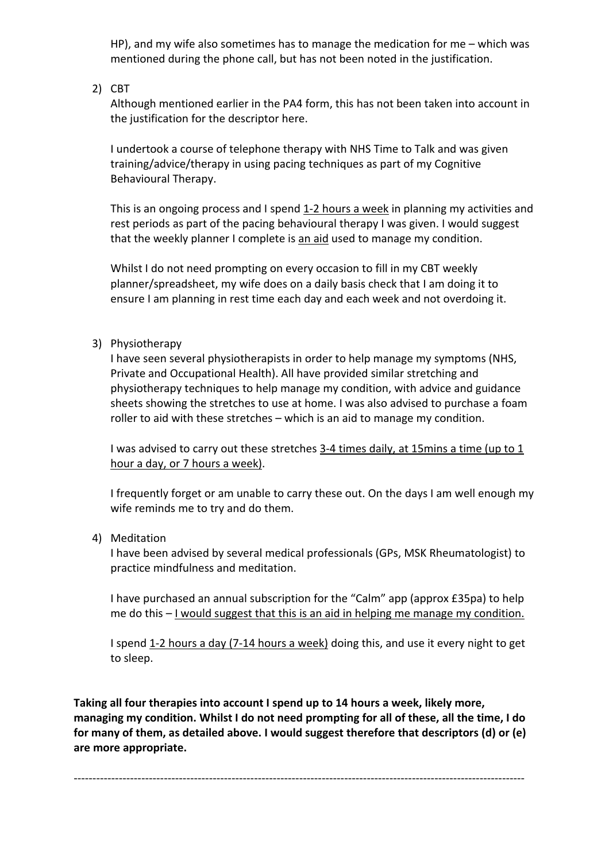HP), and my wife also sometimes has to manage the medication for me – which was mentioned during the phone call, but has not been noted in the justification.

2) CBT

Although mentioned earlier in the PA4 form, this has not been taken into account in the justification for the descriptor here.

I undertook a course of telephone therapy with NHS Time to Talk and was given training/advice/therapy in using pacing techniques as part of my Cognitive Behavioural Therapy.

This is an ongoing process and I spend 1-2 hours a week in planning my activities and rest periods as part of the pacing behavioural therapy I was given. I would suggest that the weekly planner I complete is an aid used to manage my condition.

Whilst I do not need prompting on every occasion to fill in my CBT weekly planner/spreadsheet, my wife does on a daily basis check that I am doing it to ensure I am planning in rest time each day and each week and not overdoing it.

3) Physiotherapy

I have seen several physiotherapists in order to help manage my symptoms (NHS, Private and Occupational Health). All have provided similar stretching and physiotherapy techniques to help manage my condition, with advice and guidance sheets showing the stretches to use at home. I was also advised to purchase a foam roller to aid with these stretches – which is an aid to manage my condition.

I was advised to carry out these stretches 3-4 times daily, at 15 mins a time (up to 1 hour a day, or 7 hours a week).

I frequently forget or am unable to carry these out. On the days I am well enough my wife reminds me to try and do them.

### 4) Meditation

I have been advised by several medical professionals (GPs, MSK Rheumatologist) to practice mindfulness and meditation.

I have purchased an annual subscription for the "Calm" app (approx £35pa) to help me do this – I would suggest that this is an aid in helping me manage my condition.

I spend 1-2 hours a day (7-14 hours a week) doing this, and use it every night to get to sleep.

**Taking all four therapies into account I spend up to 14 hours a week, likely more, managing my condition. Whilst I do not need prompting for all of these, all the time, I do for many of them, as detailed above. I would suggest therefore that descriptors (d) or (e) are more appropriate.**

------------------------------------------------------------------------------------------------------------------------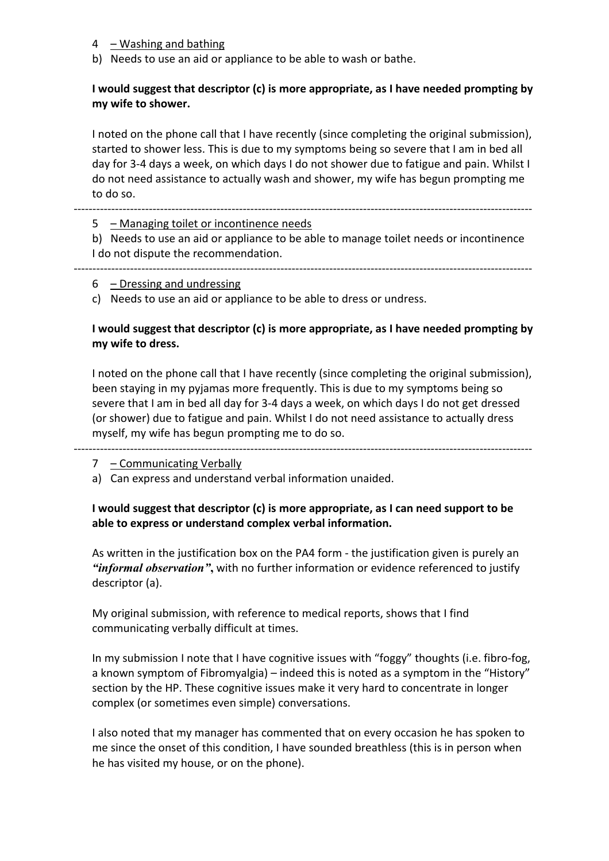- $4 -$ Washing and bathing
- b) Needs to use an aid or appliance to be able to wash or bathe.

## **I would suggest that descriptor (c) is more appropriate, as I have needed prompting by my wife to shower.**

I noted on the phone call that I have recently (since completing the original submission), started to shower less. This is due to my symptoms being so severe that I am in bed all day for 3-4 days a week, on which days I do not shower due to fatigue and pain. Whilst I do not need assistance to actually wash and shower, my wife has begun prompting me to do so.

#### --------------------------------------------------------------------------------------------------------------------------

5 – Managing toilet or incontinence needs

b) Needs to use an aid or appliance to be able to manage toilet needs or incontinence I do not dispute the recommendation.

#### -------------------------------------------------------------------------------------------------------------------------- 6 – Dressing and undressing

c) Needs to use an aid or appliance to be able to dress or undress.

### **I would suggest that descriptor (c) is more appropriate, as I have needed prompting by my wife to dress.**

I noted on the phone call that I have recently (since completing the original submission), been staying in my pyjamas more frequently. This is due to my symptoms being so severe that I am in bed all day for 3-4 days a week, on which days I do not get dressed (or shower) due to fatigue and pain. Whilst I do not need assistance to actually dress myself, my wife has begun prompting me to do so.

### -------------------------------------------------------------------------------------------------------------------------- 7 - Communicating Verbally

a) Can express and understand verbal information unaided.

## **I would suggest that descriptor (c) is more appropriate, as I can need support to be able to express or understand complex verbal information.**

As written in the justification box on the PA4 form - the justification given is purely an *"informal observation"***,** with no further information or evidence referenced to justify descriptor (a).

My original submission, with reference to medical reports, shows that I find communicating verbally difficult at times.

In my submission I note that I have cognitive issues with "foggy" thoughts (i.e. fibro-fog, a known symptom of Fibromyalgia) – indeed this is noted as a symptom in the "History" section by the HP. These cognitive issues make it very hard to concentrate in longer complex (or sometimes even simple) conversations.

I also noted that my manager has commented that on every occasion he has spoken to me since the onset of this condition, I have sounded breathless (this is in person when he has visited my house, or on the phone).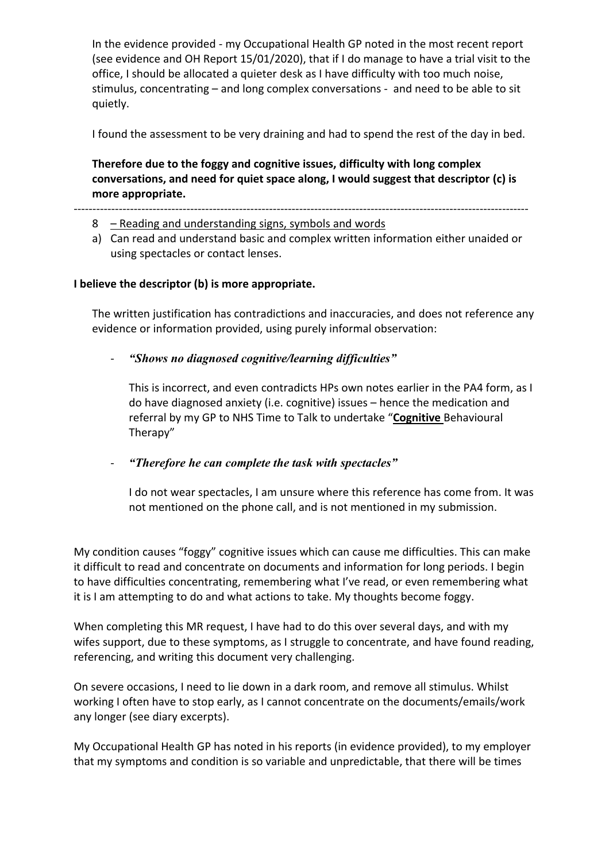In the evidence provided - my Occupational Health GP noted in the most recent report (see evidence and OH Report 15/01/2020), that if I do manage to have a trial visit to the office, I should be allocated a quieter desk as I have difficulty with too much noise, stimulus, concentrating – and long complex conversations - and need to be able to sit quietly.

I found the assessment to be very draining and had to spend the rest of the day in bed.

**Therefore due to the foggy and cognitive issues, difficulty with long complex conversations, and need for quiet space along, I would suggest that descriptor (c) is more appropriate.**

-------------------------------------------------------------------------------------------------------------------------

- 8 Reading and understanding signs, symbols and words
- a) Can read and understand basic and complex written information either unaided or using spectacles or contact lenses.

### **I believe the descriptor (b) is more appropriate.**

The written justification has contradictions and inaccuracies, and does not reference any evidence or information provided, using purely informal observation:

- *"Shows no diagnosed cognitive/learning difficulties"*

This is incorrect, and even contradicts HPs own notes earlier in the PA4 form, as I do have diagnosed anxiety (i.e. cognitive) issues – hence the medication and referral by my GP to NHS Time to Talk to undertake "**Cognitive** Behavioural Therapy"

- *"Therefore he can complete the task with spectacles"*

I do not wear spectacles, I am unsure where this reference has come from. It was not mentioned on the phone call, and is not mentioned in my submission.

My condition causes "foggy" cognitive issues which can cause me difficulties. This can make it difficult to read and concentrate on documents and information for long periods. I begin to have difficulties concentrating, remembering what I've read, or even remembering what it is I am attempting to do and what actions to take. My thoughts become foggy.

When completing this MR request, I have had to do this over several days, and with my wifes support, due to these symptoms, as I struggle to concentrate, and have found reading, referencing, and writing this document very challenging.

On severe occasions, I need to lie down in a dark room, and remove all stimulus. Whilst working I often have to stop early, as I cannot concentrate on the documents/emails/work any longer (see diary excerpts).

My Occupational Health GP has noted in his reports (in evidence provided), to my employer that my symptoms and condition is so variable and unpredictable, that there will be times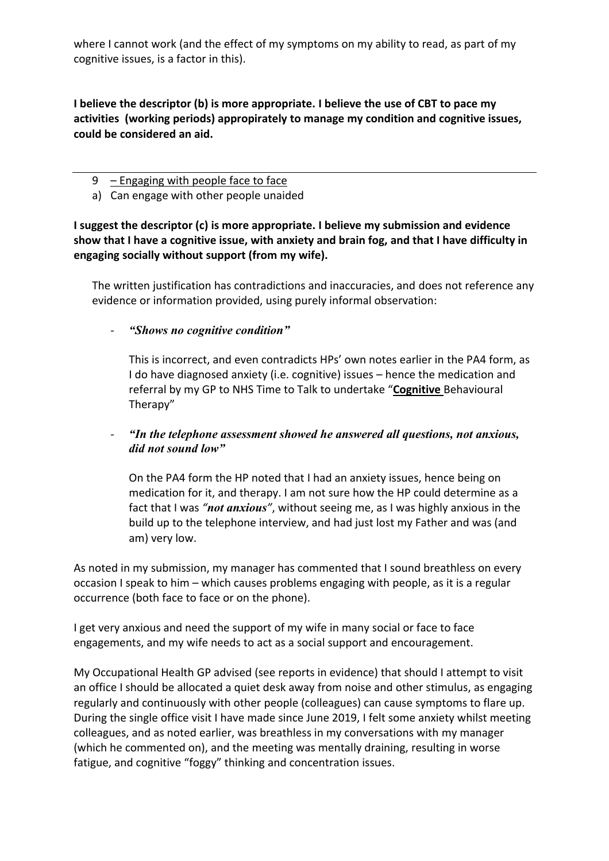where I cannot work (and the effect of my symptoms on my ability to read, as part of my cognitive issues, is a factor in this).

**I believe the descriptor (b) is more appropriate. I believe the use of CBT to pace my activities (working periods) appropirately to manage my condition and cognitive issues, could be considered an aid.**

- $9$  Engaging with people face to face
- a) Can engage with other people unaided

**I suggest the descriptor (c) is more appropriate. I believe my submission and evidence show that I have a cognitive issue, with anxiety and brain fog, and that I have difficulty in engaging socially without support (from my wife).**

The written justification has contradictions and inaccuracies, and does not reference any evidence or information provided, using purely informal observation:

## - *"Shows no cognitive condition"*

This is incorrect, and even contradicts HPs' own notes earlier in the PA4 form, as I do have diagnosed anxiety (i.e. cognitive) issues – hence the medication and referral by my GP to NHS Time to Talk to undertake "**Cognitive** Behavioural Therapy"

### - *"In the telephone assessment showed he answered all questions, not anxious, did not sound low"*

On the PA4 form the HP noted that I had an anxiety issues, hence being on medication for it, and therapy. I am not sure how the HP could determine as a fact that I was *"not anxious"*, without seeing me, as I was highly anxious in the build up to the telephone interview, and had just lost my Father and was (and am) very low.

As noted in my submission, my manager has commented that I sound breathless on every occasion I speak to him – which causes problems engaging with people, as it is a regular occurrence (both face to face or on the phone).

I get very anxious and need the support of my wife in many social or face to face engagements, and my wife needs to act as a social support and encouragement.

My Occupational Health GP advised (see reports in evidence) that should I attempt to visit an office I should be allocated a quiet desk away from noise and other stimulus, as engaging regularly and continuously with other people (colleagues) can cause symptoms to flare up. During the single office visit I have made since June 2019, I felt some anxiety whilst meeting colleagues, and as noted earlier, was breathless in my conversations with my manager (which he commented on), and the meeting was mentally draining, resulting in worse fatigue, and cognitive "foggy" thinking and concentration issues.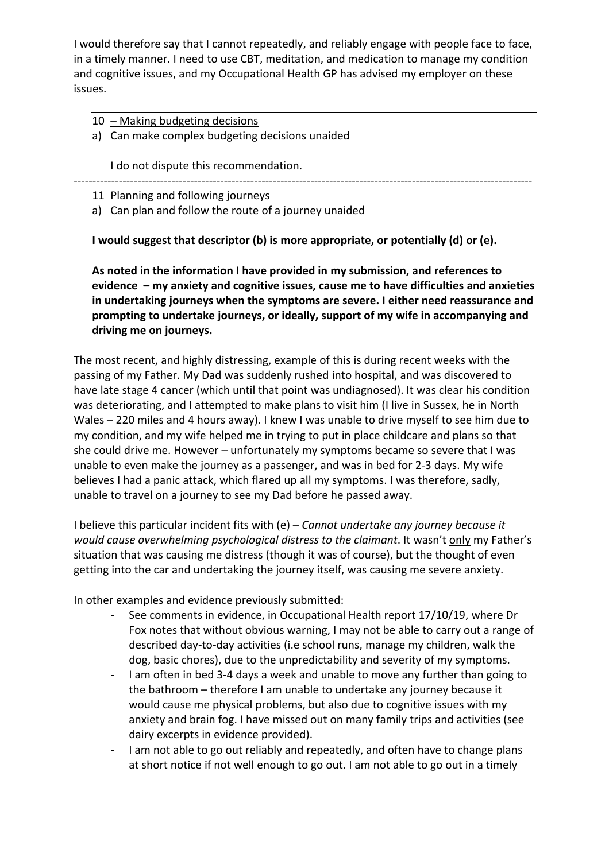I would therefore say that I cannot repeatedly, and reliably engage with people face to face, in a timely manner. I need to use CBT, meditation, and medication to manage my condition and cognitive issues, and my Occupational Health GP has advised my employer on these issues.

10 – Making budgeting decisions

a) Can make complex budgeting decisions unaided

I do not dispute this recommendation.

--------------------------------------------------------------------------------------------------------------------------

11 Planning and following journeys

a) Can plan and follow the route of a journey unaided

**I would suggest that descriptor (b) is more appropriate, or potentially (d) or (e).**

**As noted in the information I have provided in my submission, and references to evidence – my anxiety and cognitive issues, cause me to have difficulties and anxieties in undertaking journeys when the symptoms are severe. I either need reassurance and prompting to undertake journeys, or ideally, support of my wife in accompanying and driving me on journeys.**

The most recent, and highly distressing, example of this is during recent weeks with the passing of my Father. My Dad was suddenly rushed into hospital, and was discovered to have late stage 4 cancer (which until that point was undiagnosed). It was clear his condition was deteriorating, and I attempted to make plans to visit him (I live in Sussex, he in North Wales – 220 miles and 4 hours away). I knew I was unable to drive myself to see him due to my condition, and my wife helped me in trying to put in place childcare and plans so that she could drive me. However – unfortunately my symptoms became so severe that I was unable to even make the journey as a passenger, and was in bed for 2-3 days. My wife believes I had a panic attack, which flared up all my symptoms. I was therefore, sadly, unable to travel on a journey to see my Dad before he passed away.

I believe this particular incident fits with (e) – *Cannot undertake any journey because it would cause overwhelming psychological distress to the claimant*. It wasn't only my Father's situation that was causing me distress (though it was of course), but the thought of even getting into the car and undertaking the journey itself, was causing me severe anxiety.

In other examples and evidence previously submitted:

- See comments in evidence, in Occupational Health report 17/10/19, where Dr Fox notes that without obvious warning, I may not be able to carry out a range of described day-to-day activities (i.e school runs, manage my children, walk the dog, basic chores), due to the unpredictability and severity of my symptoms.
- I am often in bed 3-4 days a week and unable to move any further than going to the bathroom – therefore I am unable to undertake any journey because it would cause me physical problems, but also due to cognitive issues with my anxiety and brain fog. I have missed out on many family trips and activities (see dairy excerpts in evidence provided).
- I am not able to go out reliably and repeatedly, and often have to change plans at short notice if not well enough to go out. I am not able to go out in a timely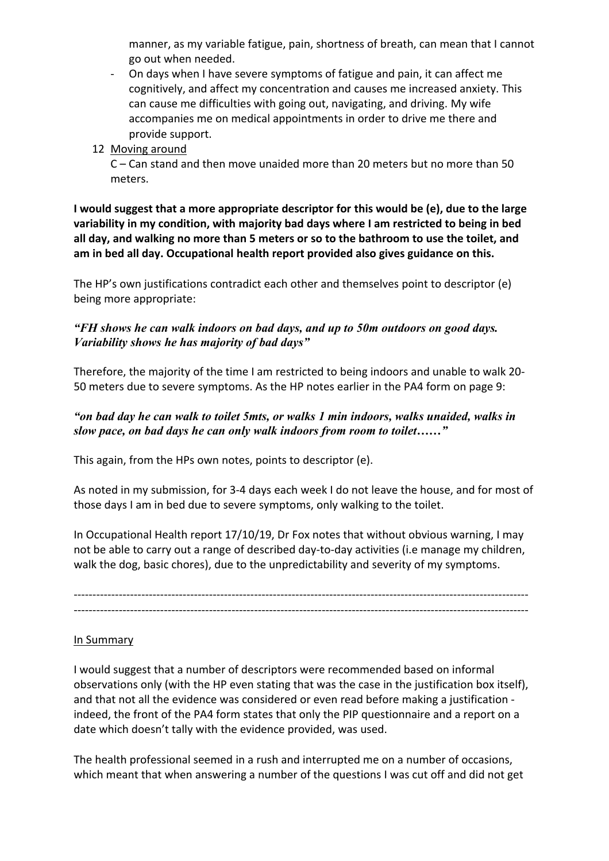manner, as my variable fatigue, pain, shortness of breath, can mean that I cannot go out when needed.

- On days when I have severe symptoms of fatigue and pain, it can affect me cognitively, and affect my concentration and causes me increased anxiety. This can cause me difficulties with going out, navigating, and driving. My wife accompanies me on medical appointments in order to drive me there and provide support.
- 12 Moving around

C – Can stand and then move unaided more than 20 meters but no more than 50 meters.

**I would suggest that a more appropriate descriptor for this would be (e), due to the large variability in my condition, with majority bad days where I am restricted to being in bed all day, and walking no more than 5 meters or so to the bathroom to use the toilet, and am in bed all day. Occupational health report provided also gives guidance on this.**

The HP's own justifications contradict each other and themselves point to descriptor (e) being more appropriate:

## *"FH shows he can walk indoors on bad days, and up to 50m outdoors on good days. Variability shows he has majority of bad days"*

Therefore, the majority of the time I am restricted to being indoors and unable to walk 20- 50 meters due to severe symptoms. As the HP notes earlier in the PA4 form on page 9:

## *"on bad day he can walk to toilet 5mts, or walks 1 min indoors, walks unaided, walks in slow pace, on bad days he can only walk indoors from room to toilet……"*

This again, from the HPs own notes, points to descriptor (e).

As noted in my submission, for 3-4 days each week I do not leave the house, and for most of those days I am in bed due to severe symptoms, only walking to the toilet.

In Occupational Health report 17/10/19, Dr Fox notes that without obvious warning, I may not be able to carry out a range of described day-to-day activities (i.e manage my children, walk the dog, basic chores), due to the unpredictability and severity of my symptoms.

------------------------------------------------------------------------------------------------------------------------- -------------------------------------------------------------------------------------------------------------------------

## In Summary

I would suggest that a number of descriptors were recommended based on informal observations only (with the HP even stating that was the case in the justification box itself), and that not all the evidence was considered or even read before making a justification indeed, the front of the PA4 form states that only the PIP questionnaire and a report on a date which doesn't tally with the evidence provided, was used.

The health professional seemed in a rush and interrupted me on a number of occasions, which meant that when answering a number of the questions I was cut off and did not get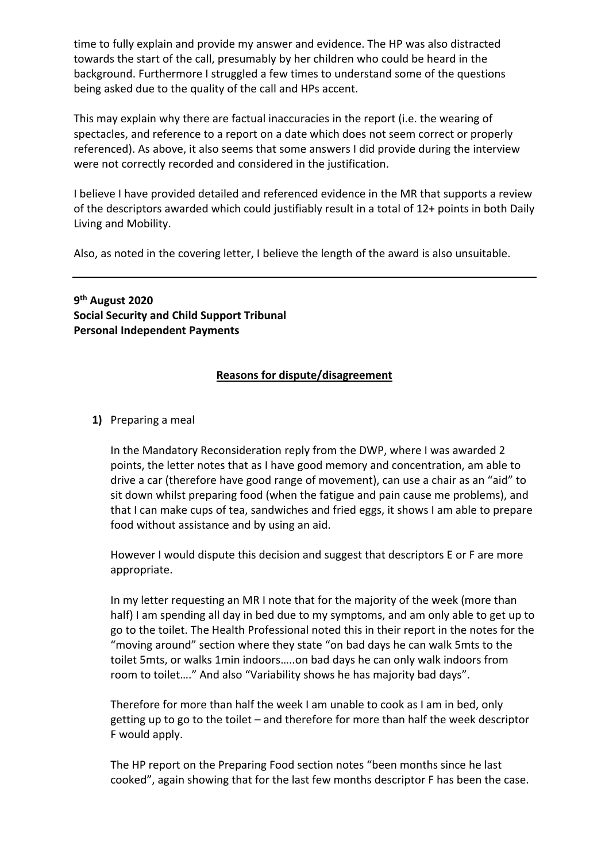time to fully explain and provide my answer and evidence. The HP was also distracted towards the start of the call, presumably by her children who could be heard in the background. Furthermore I struggled a few times to understand some of the questions being asked due to the quality of the call and HPs accent.

This may explain why there are factual inaccuracies in the report (i.e. the wearing of spectacles, and reference to a report on a date which does not seem correct or properly referenced). As above, it also seems that some answers I did provide during the interview were not correctly recorded and considered in the justification.

I believe I have provided detailed and referenced evidence in the MR that supports a review of the descriptors awarded which could justifiably result in a total of 12+ points in both Daily Living and Mobility.

Also, as noted in the covering letter, I believe the length of the award is also unsuitable.

**9 th August 2020 Social Security and Child Support Tribunal Personal Independent Payments**

### **Reasons for dispute/disagreement**

### **1)** Preparing a meal

In the Mandatory Reconsideration reply from the DWP, where I was awarded 2 points, the letter notes that as I have good memory and concentration, am able to drive a car (therefore have good range of movement), can use a chair as an "aid" to sit down whilst preparing food (when the fatigue and pain cause me problems), and that I can make cups of tea, sandwiches and fried eggs, it shows I am able to prepare food without assistance and by using an aid.

However I would dispute this decision and suggest that descriptors E or F are more appropriate.

In my letter requesting an MR I note that for the majority of the week (more than half) I am spending all day in bed due to my symptoms, and am only able to get up to go to the toilet. The Health Professional noted this in their report in the notes for the "moving around" section where they state "on bad days he can walk 5mts to the toilet 5mts, or walks 1min indoors…..on bad days he can only walk indoors from room to toilet…." And also "Variability shows he has majority bad days".

Therefore for more than half the week I am unable to cook as I am in bed, only getting up to go to the toilet – and therefore for more than half the week descriptor F would apply.

The HP report on the Preparing Food section notes "been months since he last cooked", again showing that for the last few months descriptor F has been the case.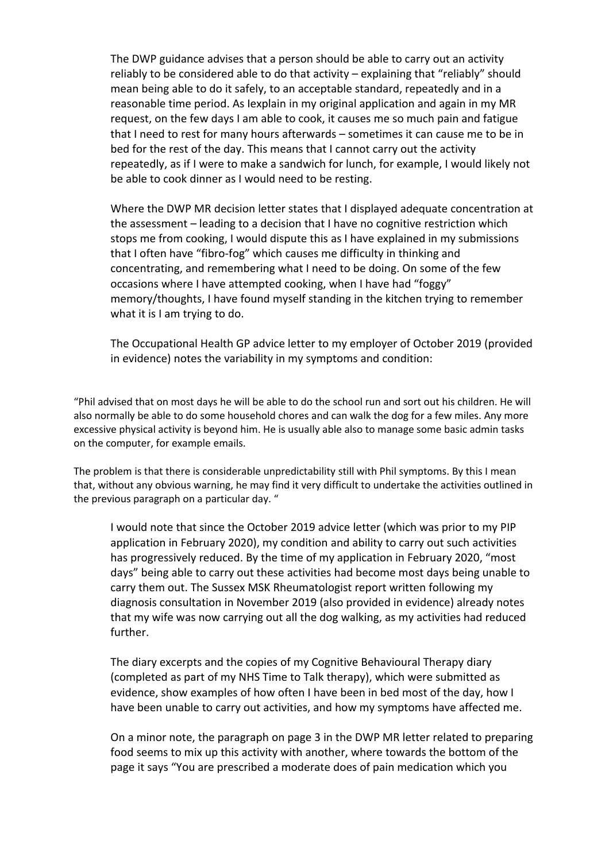The DWP guidance advises that a person should be able to carry out an activity reliably to be considered able to do that activity – explaining that "reliably" should mean being able to do it safely, to an acceptable standard, repeatedly and in a reasonable time period. As Iexplain in my original application and again in my MR request, on the few days I am able to cook, it causes me so much pain and fatigue that I need to rest for many hours afterwards – sometimes it can cause me to be in bed for the rest of the day. This means that I cannot carry out the activity repeatedly, as if I were to make a sandwich for lunch, for example, I would likely not be able to cook dinner as I would need to be resting.

Where the DWP MR decision letter states that I displayed adequate concentration at the assessment – leading to a decision that I have no cognitive restriction which stops me from cooking, I would dispute this as I have explained in my submissions that I often have "fibro-fog" which causes me difficulty in thinking and concentrating, and remembering what I need to be doing. On some of the few occasions where I have attempted cooking, when I have had "foggy" memory/thoughts, I have found myself standing in the kitchen trying to remember what it is I am trying to do.

The Occupational Health GP advice letter to my employer of October 2019 (provided in evidence) notes the variability in my symptoms and condition:

"Phil advised that on most days he will be able to do the school run and sort out his children. He will also normally be able to do some household chores and can walk the dog for a few miles. Any more excessive physical activity is beyond him. He is usually able also to manage some basic admin tasks on the computer, for example emails.

The problem is that there is considerable unpredictability still with Phil symptoms. By this I mean that, without any obvious warning, he may find it very difficult to undertake the activities outlined in the previous paragraph on a particular day. "

I would note that since the October 2019 advice letter (which was prior to my PIP application in February 2020), my condition and ability to carry out such activities has progressively reduced. By the time of my application in February 2020, "most days" being able to carry out these activities had become most days being unable to carry them out. The Sussex MSK Rheumatologist report written following my diagnosis consultation in November 2019 (also provided in evidence) already notes that my wife was now carrying out all the dog walking, as my activities had reduced further.

The diary excerpts and the copies of my Cognitive Behavioural Therapy diary (completed as part of my NHS Time to Talk therapy), which were submitted as evidence, show examples of how often I have been in bed most of the day, how I have been unable to carry out activities, and how my symptoms have affected me.

On a minor note, the paragraph on page 3 in the DWP MR letter related to preparing food seems to mix up this activity with another, where towards the bottom of the page it says "You are prescribed a moderate does of pain medication which you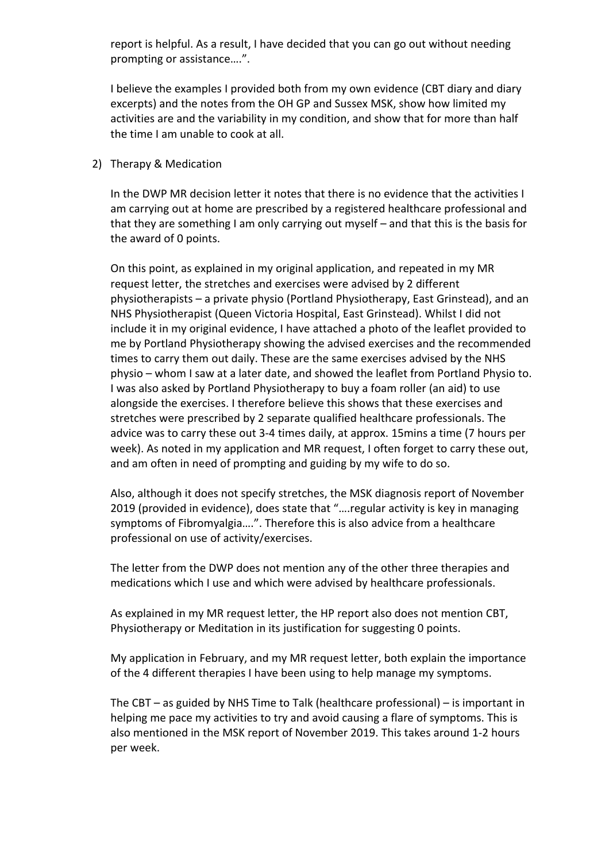report is helpful. As a result, I have decided that you can go out without needing prompting or assistance….".

I believe the examples I provided both from my own evidence (CBT diary and diary excerpts) and the notes from the OH GP and Sussex MSK, show how limited my activities are and the variability in my condition, and show that for more than half the time I am unable to cook at all.

#### 2) Therapy & Medication

In the DWP MR decision letter it notes that there is no evidence that the activities I am carrying out at home are prescribed by a registered healthcare professional and that they are something I am only carrying out myself – and that this is the basis for the award of 0 points.

On this point, as explained in my original application, and repeated in my MR request letter, the stretches and exercises were advised by 2 different physiotherapists – a private physio (Portland Physiotherapy, East Grinstead), and an NHS Physiotherapist (Queen Victoria Hospital, East Grinstead). Whilst I did not include it in my original evidence, I have attached a photo of the leaflet provided to me by Portland Physiotherapy showing the advised exercises and the recommended times to carry them out daily. These are the same exercises advised by the NHS physio – whom I saw at a later date, and showed the leaflet from Portland Physio to. I was also asked by Portland Physiotherapy to buy a foam roller (an aid) to use alongside the exercises. I therefore believe this shows that these exercises and stretches were prescribed by 2 separate qualified healthcare professionals. The advice was to carry these out 3-4 times daily, at approx. 15mins a time (7 hours per week). As noted in my application and MR request, I often forget to carry these out, and am often in need of prompting and guiding by my wife to do so.

Also, although it does not specify stretches, the MSK diagnosis report of November 2019 (provided in evidence), does state that "….regular activity is key in managing symptoms of Fibromyalgia….". Therefore this is also advice from a healthcare professional on use of activity/exercises.

The letter from the DWP does not mention any of the other three therapies and medications which I use and which were advised by healthcare professionals.

As explained in my MR request letter, the HP report also does not mention CBT, Physiotherapy or Meditation in its justification for suggesting 0 points.

My application in February, and my MR request letter, both explain the importance of the 4 different therapies I have been using to help manage my symptoms.

The CBT – as guided by NHS Time to Talk (healthcare professional) – is important in helping me pace my activities to try and avoid causing a flare of symptoms. This is also mentioned in the MSK report of November 2019. This takes around 1-2 hours per week.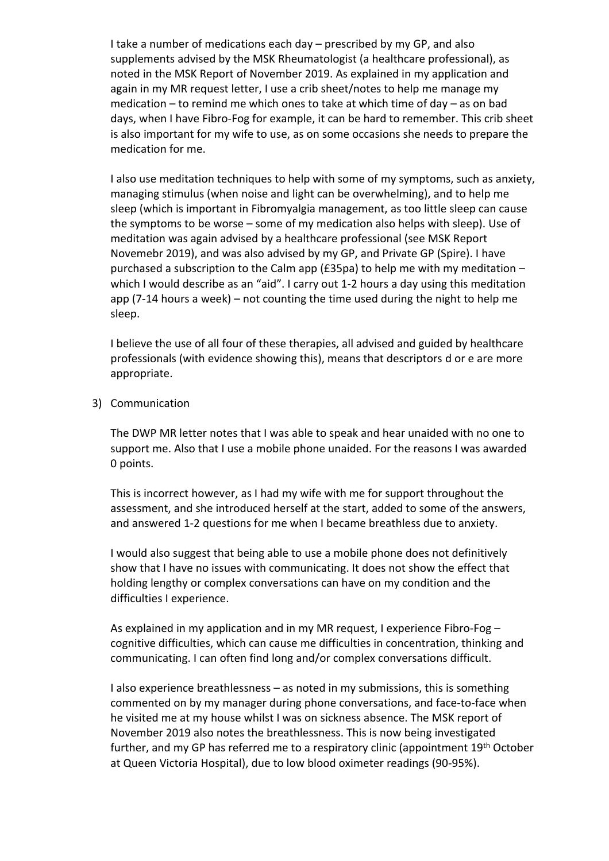I take a number of medications each day – prescribed by my GP, and also supplements advised by the MSK Rheumatologist (a healthcare professional), as noted in the MSK Report of November 2019. As explained in my application and again in my MR request letter, I use a crib sheet/notes to help me manage my medication – to remind me which ones to take at which time of day – as on bad days, when I have Fibro-Fog for example, it can be hard to remember. This crib sheet is also important for my wife to use, as on some occasions she needs to prepare the medication for me.

I also use meditation techniques to help with some of my symptoms, such as anxiety, managing stimulus (when noise and light can be overwhelming), and to help me sleep (which is important in Fibromyalgia management, as too little sleep can cause the symptoms to be worse – some of my medication also helps with sleep). Use of meditation was again advised by a healthcare professional (see MSK Report Novemebr 2019), and was also advised by my GP, and Private GP (Spire). I have purchased a subscription to the Calm app (£35pa) to help me with my meditation – which I would describe as an "aid". I carry out 1-2 hours a day using this meditation app (7-14 hours a week) – not counting the time used during the night to help me sleep.

I believe the use of all four of these therapies, all advised and guided by healthcare professionals (with evidence showing this), means that descriptors d or e are more appropriate.

3) Communication

The DWP MR letter notes that I was able to speak and hear unaided with no one to support me. Also that I use a mobile phone unaided. For the reasons I was awarded 0 points.

This is incorrect however, as I had my wife with me for support throughout the assessment, and she introduced herself at the start, added to some of the answers, and answered 1-2 questions for me when I became breathless due to anxiety.

I would also suggest that being able to use a mobile phone does not definitively show that I have no issues with communicating. It does not show the effect that holding lengthy or complex conversations can have on my condition and the difficulties I experience.

As explained in my application and in my MR request, I experience Fibro-Fog – cognitive difficulties, which can cause me difficulties in concentration, thinking and communicating. I can often find long and/or complex conversations difficult.

I also experience breathlessness – as noted in my submissions, this is something commented on by my manager during phone conversations, and face-to-face when he visited me at my house whilst I was on sickness absence. The MSK report of November 2019 also notes the breathlessness. This is now being investigated further, and my GP has referred me to a respiratory clinic (appointment 19th October at Queen Victoria Hospital), due to low blood oximeter readings (90-95%).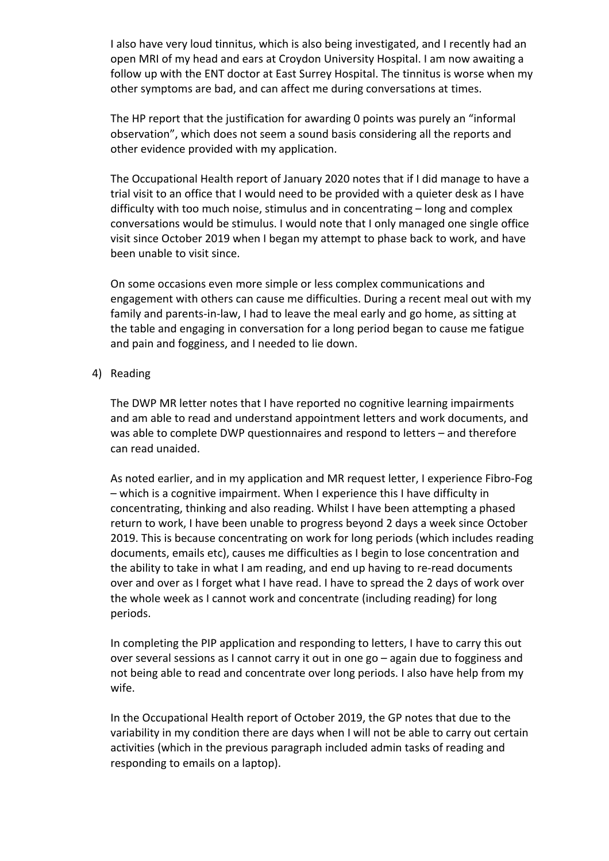I also have very loud tinnitus, which is also being investigated, and I recently had an open MRI of my head and ears at Croydon University Hospital. I am now awaiting a follow up with the ENT doctor at East Surrey Hospital. The tinnitus is worse when my other symptoms are bad, and can affect me during conversations at times.

The HP report that the justification for awarding 0 points was purely an "informal observation", which does not seem a sound basis considering all the reports and other evidence provided with my application.

The Occupational Health report of January 2020 notes that if I did manage to have a trial visit to an office that I would need to be provided with a quieter desk as I have difficulty with too much noise, stimulus and in concentrating – long and complex conversations would be stimulus. I would note that I only managed one single office visit since October 2019 when I began my attempt to phase back to work, and have been unable to visit since.

On some occasions even more simple or less complex communications and engagement with others can cause me difficulties. During a recent meal out with my family and parents-in-law, I had to leave the meal early and go home, as sitting at the table and engaging in conversation for a long period began to cause me fatigue and pain and fogginess, and I needed to lie down.

4) Reading

The DWP MR letter notes that I have reported no cognitive learning impairments and am able to read and understand appointment letters and work documents, and was able to complete DWP questionnaires and respond to letters – and therefore can read unaided.

As noted earlier, and in my application and MR request letter, I experience Fibro-Fog – which is a cognitive impairment. When I experience this I have difficulty in concentrating, thinking and also reading. Whilst I have been attempting a phased return to work, I have been unable to progress beyond 2 days a week since October 2019. This is because concentrating on work for long periods (which includes reading documents, emails etc), causes me difficulties as I begin to lose concentration and the ability to take in what I am reading, and end up having to re-read documents over and over as I forget what I have read. I have to spread the 2 days of work over the whole week as I cannot work and concentrate (including reading) for long periods.

In completing the PIP application and responding to letters, I have to carry this out over several sessions as I cannot carry it out in one go – again due to fogginess and not being able to read and concentrate over long periods. I also have help from my wife.

In the Occupational Health report of October 2019, the GP notes that due to the variability in my condition there are days when I will not be able to carry out certain activities (which in the previous paragraph included admin tasks of reading and responding to emails on a laptop).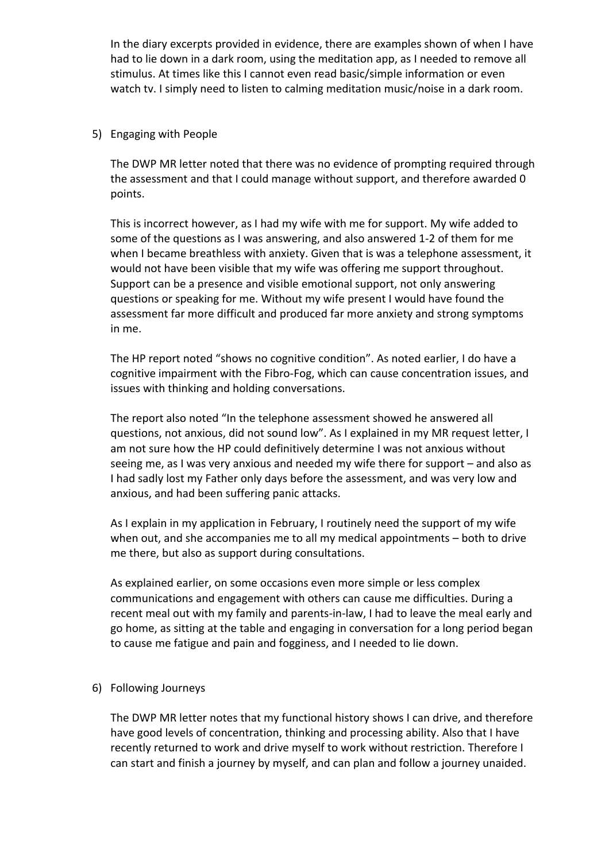In the diary excerpts provided in evidence, there are examples shown of when I have had to lie down in a dark room, using the meditation app, as I needed to remove all stimulus. At times like this I cannot even read basic/simple information or even watch tv. I simply need to listen to calming meditation music/noise in a dark room.

### 5) Engaging with People

The DWP MR letter noted that there was no evidence of prompting required through the assessment and that I could manage without support, and therefore awarded 0 points.

This is incorrect however, as I had my wife with me for support. My wife added to some of the questions as I was answering, and also answered 1-2 of them for me when I became breathless with anxiety. Given that is was a telephone assessment, it would not have been visible that my wife was offering me support throughout. Support can be a presence and visible emotional support, not only answering questions or speaking for me. Without my wife present I would have found the assessment far more difficult and produced far more anxiety and strong symptoms in me.

The HP report noted "shows no cognitive condition". As noted earlier, I do have a cognitive impairment with the Fibro-Fog, which can cause concentration issues, and issues with thinking and holding conversations.

The report also noted "In the telephone assessment showed he answered all questions, not anxious, did not sound low". As I explained in my MR request letter, I am not sure how the HP could definitively determine I was not anxious without seeing me, as I was very anxious and needed my wife there for support – and also as I had sadly lost my Father only days before the assessment, and was very low and anxious, and had been suffering panic attacks.

As I explain in my application in February, I routinely need the support of my wife when out, and she accompanies me to all my medical appointments – both to drive me there, but also as support during consultations.

As explained earlier, on some occasions even more simple or less complex communications and engagement with others can cause me difficulties. During a recent meal out with my family and parents-in-law, I had to leave the meal early and go home, as sitting at the table and engaging in conversation for a long period began to cause me fatigue and pain and fogginess, and I needed to lie down.

### 6) Following Journeys

The DWP MR letter notes that my functional history shows I can drive, and therefore have good levels of concentration, thinking and processing ability. Also that I have recently returned to work and drive myself to work without restriction. Therefore I can start and finish a journey by myself, and can plan and follow a journey unaided.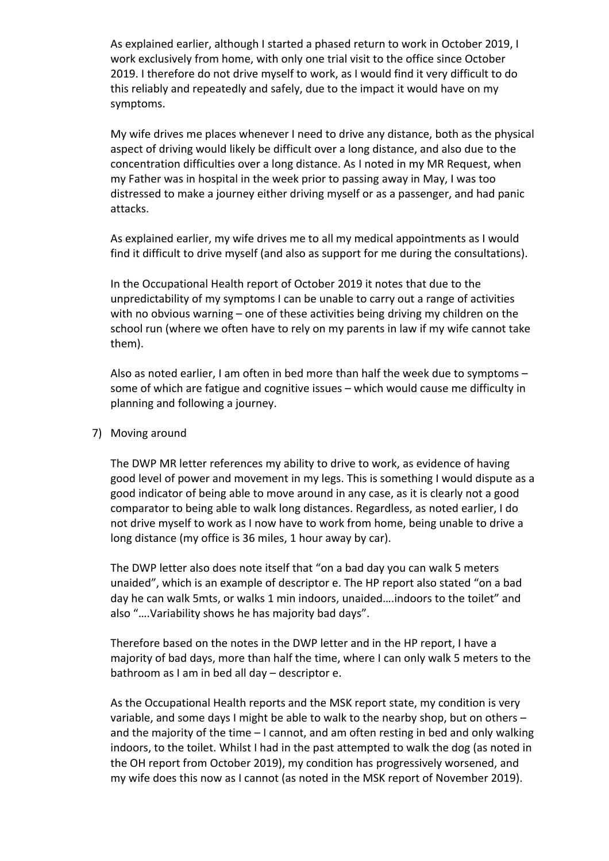As explained earlier, although I started a phased return to work in October 2019, I work exclusively from home, with only one trial visit to the office since October 2019. I therefore do not drive myself to work, as I would find it very difficult to do this reliably and repeatedly and safely, due to the impact it would have on my symptoms.

My wife drives me places whenever I need to drive any distance, both as the physical aspect of driving would likely be difficult over a long distance, and also due to the concentration difficulties over a long distance. As I noted in my MR Request, when my Father was in hospital in the week prior to passing away in May, I was too distressed to make a journey either driving myself or as a passenger, and had panic attacks.

As explained earlier, my wife drives me to all my medical appointments as I would find it difficult to drive myself (and also as support for me during the consultations).

In the Occupational Health report of October 2019 it notes that due to the unpredictability of my symptoms I can be unable to carry out a range of activities with no obvious warning – one of these activities being driving my children on the school run (where we often have to rely on my parents in law if my wife cannot take them).

Also as noted earlier, I am often in bed more than half the week due to symptoms – some of which are fatigue and cognitive issues – which would cause me difficulty in planning and following a journey.

### 7) Moving around

The DWP MR letter references my ability to drive to work, as evidence of having good level of power and movement in my legs. This is something I would dispute as a good indicator of being able to move around in any case, as it is clearly not a good comparator to being able to walk long distances. Regardless, as noted earlier, I do not drive myself to work as I now have to work from home, being unable to drive a long distance (my office is 36 miles, 1 hour away by car).

The DWP letter also does note itself that "on a bad day you can walk 5 meters unaided", which is an example of descriptor e. The HP report also stated "on a bad day he can walk 5mts, or walks 1 min indoors, unaided….indoors to the toilet" and also "….Variability shows he has majority bad days".

Therefore based on the notes in the DWP letter and in the HP report, I have a majority of bad days, more than half the time, where I can only walk 5 meters to the bathroom as I am in bed all day – descriptor e.

As the Occupational Health reports and the MSK report state, my condition is very variable, and some days I might be able to walk to the nearby shop, but on others – and the majority of the time – I cannot, and am often resting in bed and only walking indoors, to the toilet. Whilst I had in the past attempted to walk the dog (as noted in the OH report from October 2019), my condition has progressively worsened, and my wife does this now as I cannot (as noted in the MSK report of November 2019).